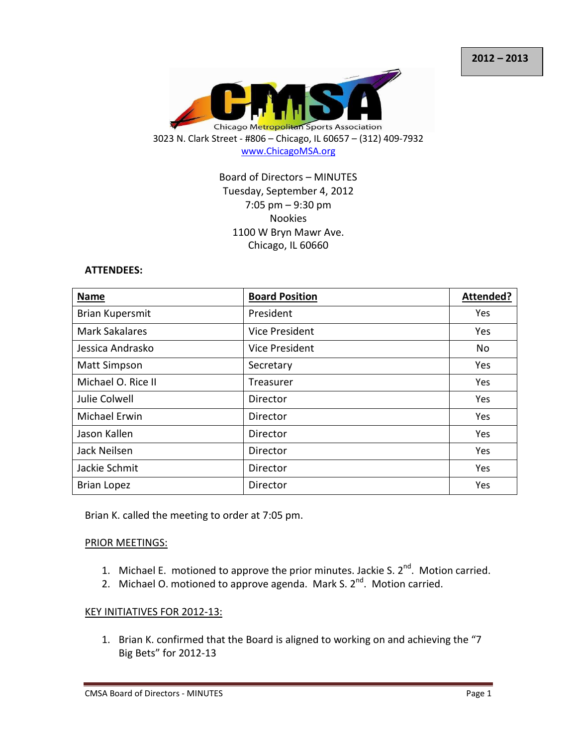

## Board of Directors – MINUTES Tuesday, September 4, 2012 7:05 pm – 9:30 pm Nookies 1100 W Bryn Mawr Ave. Chicago, IL 60660

#### **ATTENDEES:**

| <b>Name</b>            | <b>Board Position</b> | Attended?  |
|------------------------|-----------------------|------------|
| <b>Brian Kupersmit</b> | President             | Yes        |
| <b>Mark Sakalares</b>  | <b>Vice President</b> | Yes        |
| Jessica Andrasko       | <b>Vice President</b> | No         |
| <b>Matt Simpson</b>    | Secretary             | Yes        |
| Michael O. Rice II     | Treasurer             | Yes        |
| Julie Colwell          | Director              | Yes        |
| <b>Michael Erwin</b>   | Director              | Yes        |
| Jason Kallen           | Director              | <b>Yes</b> |
| Jack Neilsen           | Director              | Yes        |
| Jackie Schmit          | Director              | Yes        |
| <b>Brian Lopez</b>     | Director              | Yes        |

Brian K. called the meeting to order at 7:05 pm.

#### PRIOR MEETINGS:

- 1. Michael E. motioned to approve the prior minutes. Jackie S.  $2^{nd}$ . Motion carried.
- 2. Michael O. motioned to approve agenda. Mark S.  $2^{nd}$ . Motion carried.

#### KEY INITIATIVES FOR 2012-13:

1. Brian K. confirmed that the Board is aligned to working on and achieving the "7 Big Bets" for 2012-13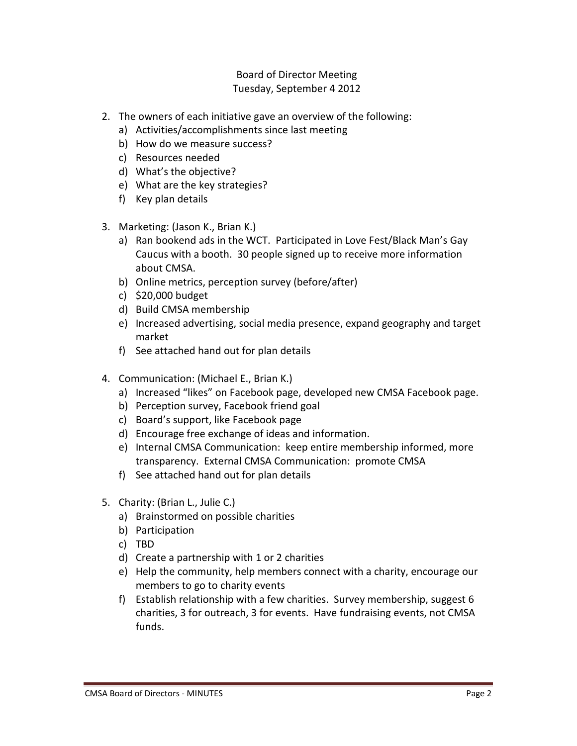- 2. The owners of each initiative gave an overview of the following:
	- a) Activities/accomplishments since last meeting
	- b) How do we measure success?
	- c) Resources needed
	- d) What's the objective?
	- e) What are the key strategies?
	- f) Key plan details
- 3. Marketing: (Jason K., Brian K.)
	- a) Ran bookend ads in the WCT. Participated in Love Fest/Black Man's Gay Caucus with a booth. 30 people signed up to receive more information about CMSA.
	- b) Online metrics, perception survey (before/after)
	- c) \$20,000 budget
	- d) Build CMSA membership
	- e) Increased advertising, social media presence, expand geography and target market
	- f) See attached hand out for plan details
- 4. Communication: (Michael E., Brian K.)
	- a) Increased "likes" on Facebook page, developed new CMSA Facebook page.
	- b) Perception survey, Facebook friend goal
	- c) Board's support, like Facebook page
	- d) Encourage free exchange of ideas and information.
	- e) Internal CMSA Communication: keep entire membership informed, more transparency. External CMSA Communication: promote CMSA
	- f) See attached hand out for plan details
- 5. Charity: (Brian L., Julie C.)
	- a) Brainstormed on possible charities
	- b) Participation
	- c) TBD
	- d) Create a partnership with 1 or 2 charities
	- e) Help the community, help members connect with a charity, encourage our members to go to charity events
	- f) Establish relationship with a few charities. Survey membership, suggest 6 charities, 3 for outreach, 3 for events. Have fundraising events, not CMSA funds.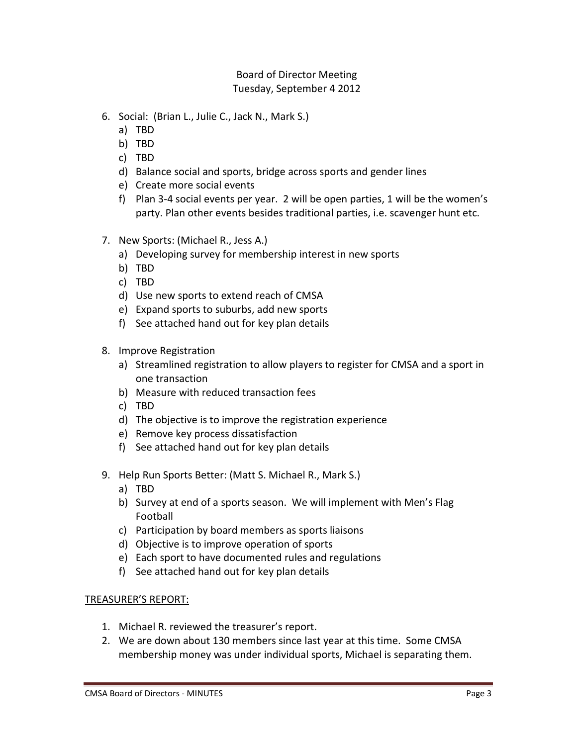- 6. Social: (Brian L., Julie C., Jack N., Mark S.)
	- a) TBD
	- b) TBD
	- c) TBD
	- d) Balance social and sports, bridge across sports and gender lines
	- e) Create more social events
	- f) Plan 3-4 social events per year. 2 will be open parties, 1 will be the women's party. Plan other events besides traditional parties, i.e. scavenger hunt etc.
- 7. New Sports: (Michael R., Jess A.)
	- a) Developing survey for membership interest in new sports
	- b) TBD
	- c) TBD
	- d) Use new sports to extend reach of CMSA
	- e) Expand sports to suburbs, add new sports
	- f) See attached hand out for key plan details
- 8. Improve Registration
	- a) Streamlined registration to allow players to register for CMSA and a sport in one transaction
	- b) Measure with reduced transaction fees
	- c) TBD
	- d) The objective is to improve the registration experience
	- e) Remove key process dissatisfaction
	- f) See attached hand out for key plan details
- 9. Help Run Sports Better: (Matt S. Michael R., Mark S.)
	- a) TBD
	- b) Survey at end of a sports season. We will implement with Men's Flag Football
	- c) Participation by board members as sports liaisons
	- d) Objective is to improve operation of sports
	- e) Each sport to have documented rules and regulations
	- f) See attached hand out for key plan details

#### TREASURER'S REPORT:

- 1. Michael R. reviewed the treasurer's report.
- 2. We are down about 130 members since last year at this time. Some CMSA membership money was under individual sports, Michael is separating them.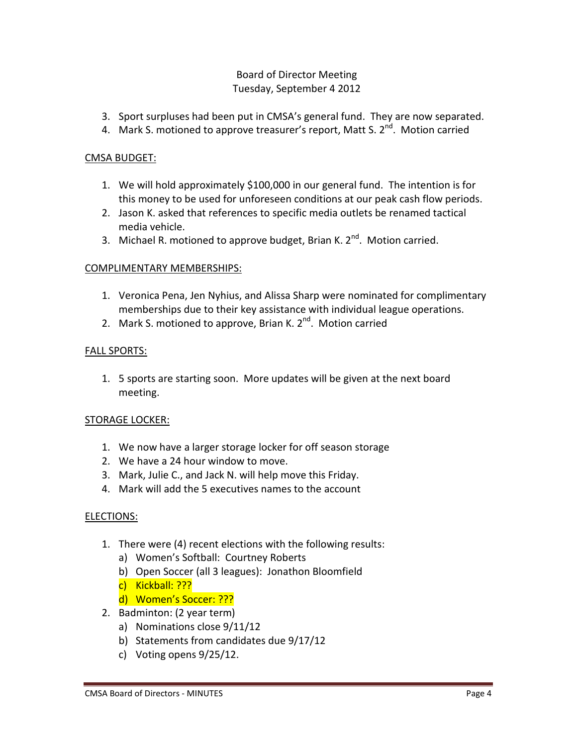- 3. Sport surpluses had been put in CMSA's general fund. They are now separated.
- 4. Mark S. motioned to approve treasurer's report, Matt S. 2<sup>nd</sup>. Motion carried

## CMSA BUDGET:

- 1. We will hold approximately \$100,000 in our general fund. The intention is for this money to be used for unforeseen conditions at our peak cash flow periods.
- 2. Jason K. asked that references to specific media outlets be renamed tactical media vehicle.
- 3. Michael R. motioned to approve budget, Brian K.  $2^{nd}$ . Motion carried.

# COMPLIMENTARY MEMBERSHIPS:

- 1. Veronica Pena, Jen Nyhius, and Alissa Sharp were nominated for complimentary memberships due to their key assistance with individual league operations.
- 2. Mark S. motioned to approve, Brian K. 2<sup>nd</sup>. Motion carried

# FALL SPORTS:

1. 5 sports are starting soon. More updates will be given at the next board meeting.

### STORAGE LOCKER:

- 1. We now have a larger storage locker for off season storage
- 2. We have a 24 hour window to move.
- 3. Mark, Julie C., and Jack N. will help move this Friday.
- 4. Mark will add the 5 executives names to the account

### ELECTIONS:

- 1. There were (4) recent elections with the following results:
	- a) Women's Softball: Courtney Roberts
	- b) Open Soccer (all 3 leagues): Jonathon Bloomfield
	- c) Kickball: ???
	- d) Women's Soccer: ???
- 2. Badminton: (2 year term)
	- a) Nominations close 9/11/12
	- b) Statements from candidates due 9/17/12
	- c) Voting opens 9/25/12.